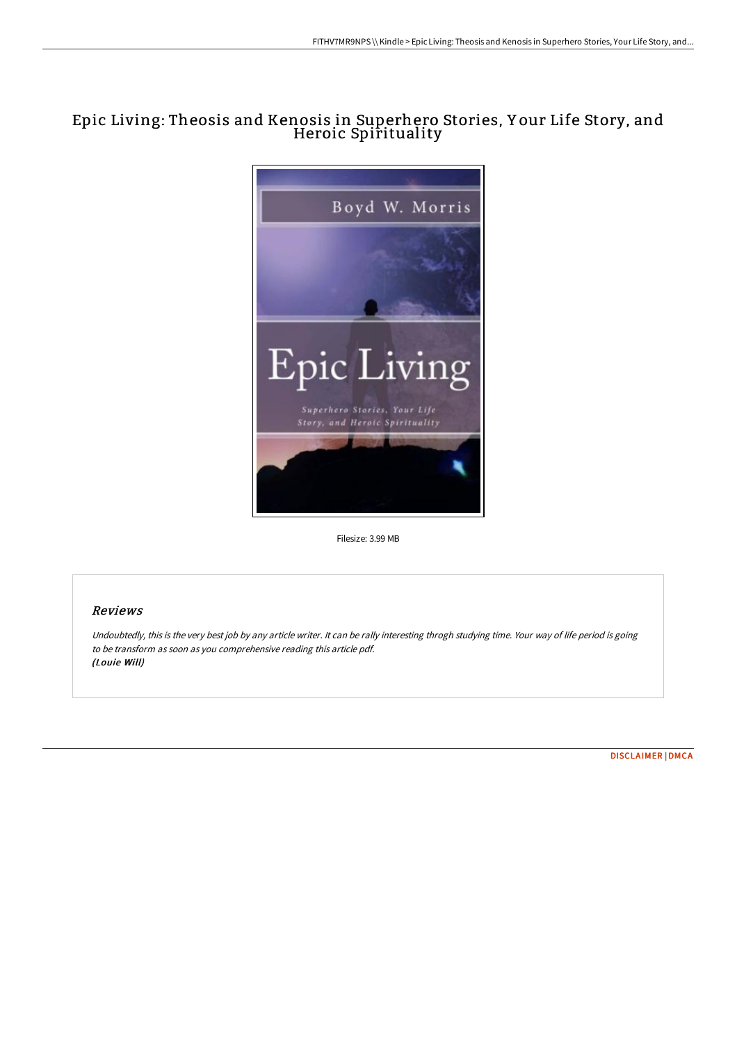# Epic Living: Theosis and Kenosis in Superhero Stories, Y our Life Story, and Heroic Spirituality



Filesize: 3.99 MB

## Reviews

Undoubtedly, this is the very best job by any article writer. It can be rally interesting throgh studying time. Your way of life period is going to be transform as soon as you comprehensive reading this article pdf. (Louie Will)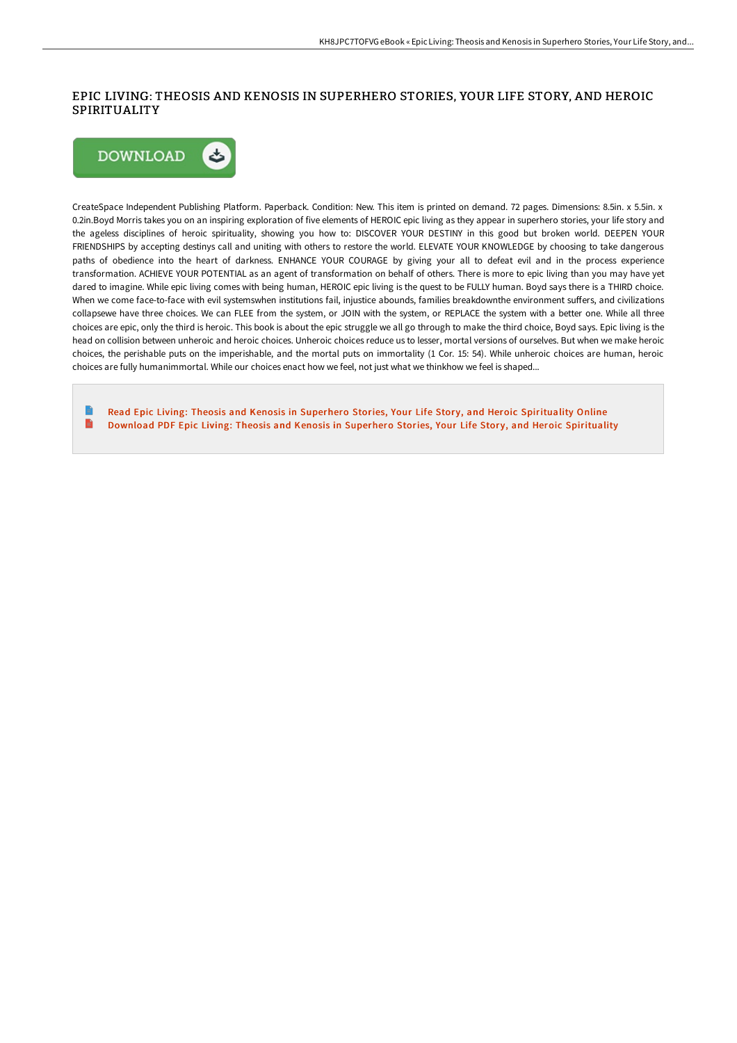### EPIC LIVING: THEOSIS AND KENOSIS IN SUPERHERO STORIES, YOUR LIFE STORY, AND HEROIC **SPIRITUALITY**



CreateSpace Independent Publishing Platform. Paperback. Condition: New. This item is printed on demand. 72 pages. Dimensions: 8.5in. x 5.5in. x 0.2in.Boyd Morris takes you on an inspiring exploration of five elements of HEROIC epic living as they appear in superhero stories, your life story and the ageless disciplines of heroic spirituality, showing you how to: DISCOVER YOUR DESTINY in this good but broken world. DEEPEN YOUR FRIENDSHIPS by accepting destinys call and uniting with others to restore the world. ELEVATE YOUR KNOWLEDGE by choosing to take dangerous paths of obedience into the heart of darkness. ENHANCE YOUR COURAGE by giving your all to defeat evil and in the process experience transformation. ACHIEVE YOUR POTENTIAL as an agent of transformation on behalf of others. There is more to epic living than you may have yet dared to imagine. While epic living comes with being human, HEROIC epic living is the quest to be FULLY human. Boyd says there is a THIRD choice. When we come face-to-face with evil systemswhen institutions fail, injustice abounds, families breakdownthe environment suffers, and civilizations collapsewe have three choices. We can FLEE from the system, or JOIN with the system, or REPLACE the system with a better one. While all three choices are epic, only the third is heroic. This book is about the epic struggle we all go through to make the third choice, Boyd says. Epic living is the head on collision between unheroic and heroic choices. Unheroic choices reduce us to lesser, mortal versions of ourselves. But when we make heroic choices, the perishable puts on the imperishable, and the mortal puts on immortality (1 Cor. 15: 54). While unheroic choices are human, heroic choices are fully humanimmortal. While our choices enact how we feel, not just what we thinkhow we feel is shaped...

Read Epic Living: Theosis and Kenosis in Superhero Stories, Your Life Story, and Heroic [Spirituality](http://techno-pub.tech/epic-living-theosis-and-kenosis-in-superhero-sto.html) Online  $\blacksquare$ Download PDF Epic Living: Theosis and Kenosis in Superhero Stories, Your Life Story, and Heroic [Spirituality](http://techno-pub.tech/epic-living-theosis-and-kenosis-in-superhero-sto.html)